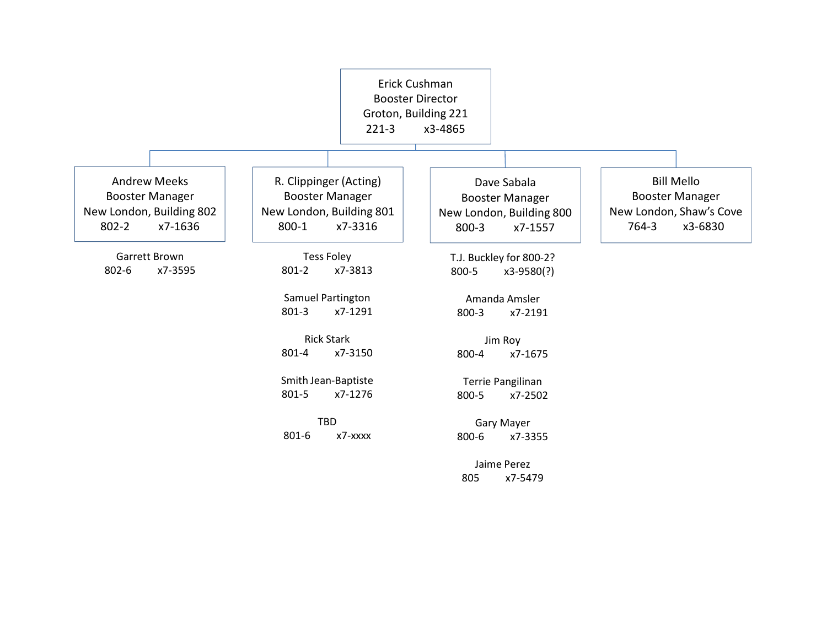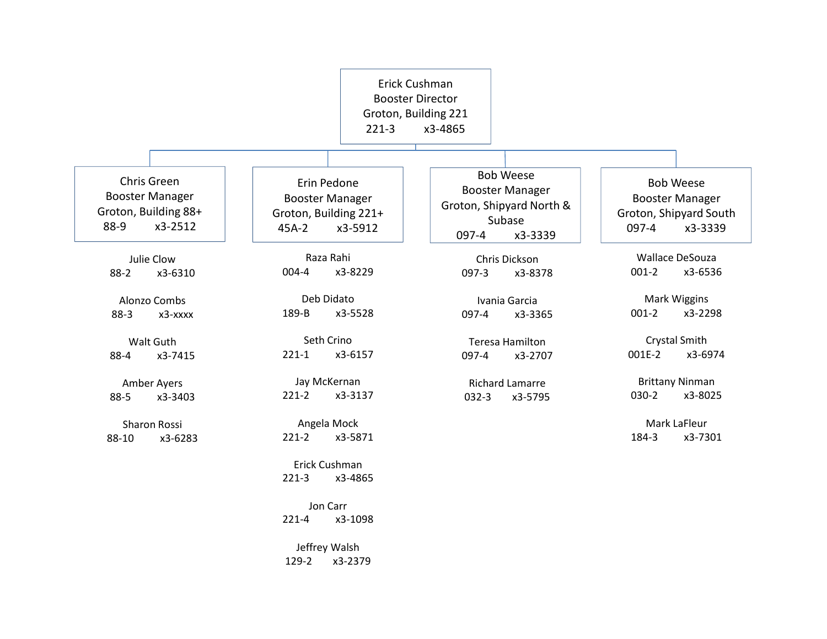